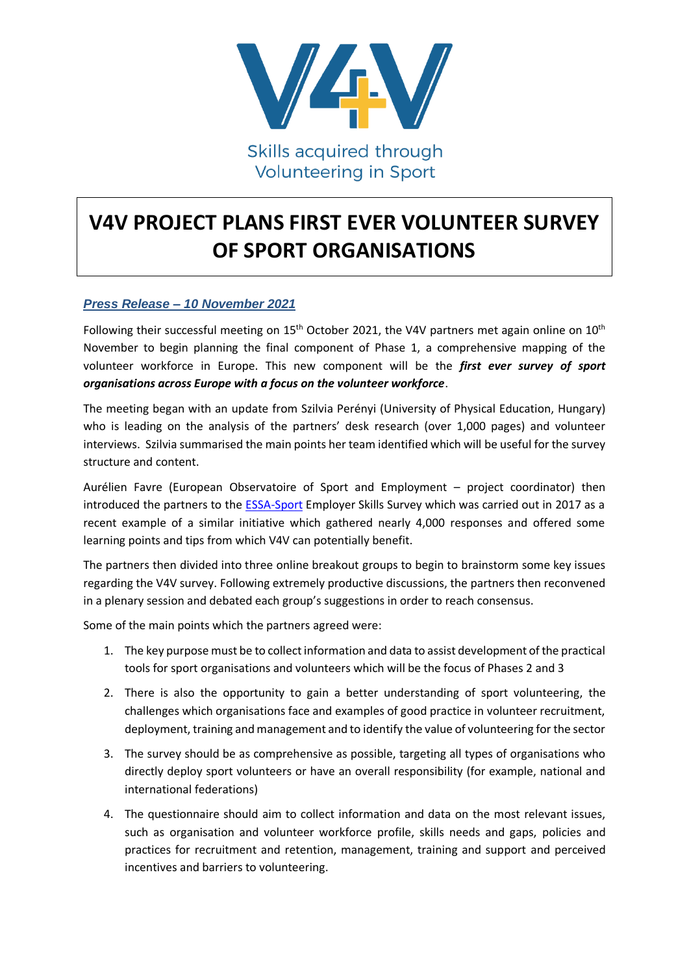

**Volunteering in Sport** 

# **V4V PROJECT PLANS FIRST EVER VOLUNTEER SURVEY OF SPORT ORGANISATIONS**

## *Press Release – 10 November 2021*

Following their successful meeting on  $15<sup>th</sup>$  October 2021, the V4V partners met again online on  $10<sup>th</sup>$ November to begin planning the final component of Phase 1, a comprehensive mapping of the volunteer workforce in Europe. This new component will be the *first ever survey of sport organisations across Europe with a focus on the volunteer workforce*.

The meeting began with an update from Szilvia Perényi (University of Physical Education, Hungary) who is leading on the analysis of the partners' desk research (over 1,000 pages) and volunteer interviews. Szilvia summarised the main points her team identified which will be useful for the survey structure and content.

Aurélien Favre (European Observatoire of Sport and Employment – project coordinator) then introduced the partners to the [ESSA-Sport](https://www.essa-sport.eu/) Employer Skills Survey which was carried out in 2017 as a recent example of a similar initiative which gathered nearly 4,000 responses and offered some learning points and tips from which V4V can potentially benefit.

The partners then divided into three online breakout groups to begin to brainstorm some key issues regarding the V4V survey. Following extremely productive discussions, the partners then reconvened in a plenary session and debated each group's suggestions in order to reach consensus.

Some of the main points which the partners agreed were:

- 1. The key purpose must be to collect information and data to assist development of the practical tools for sport organisations and volunteers which will be the focus of Phases 2 and 3
- 2. There is also the opportunity to gain a better understanding of sport volunteering, the challenges which organisations face and examples of good practice in volunteer recruitment, deployment, training and management and to identify the value of volunteering for the sector
- 3. The survey should be as comprehensive as possible, targeting all types of organisations who directly deploy sport volunteers or have an overall responsibility (for example, national and international federations)
- 4. The questionnaire should aim to collect information and data on the most relevant issues, such as organisation and volunteer workforce profile, skills needs and gaps, policies and practices for recruitment and retention, management, training and support and perceived incentives and barriers to volunteering.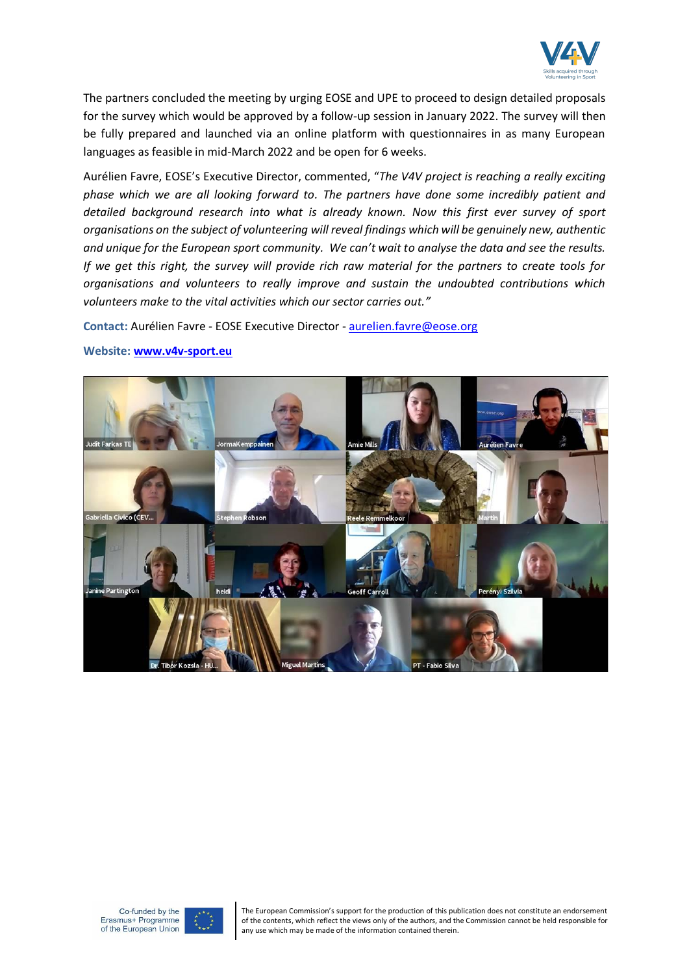

The partners concluded the meeting by urging EOSE and UPE to proceed to design detailed proposals for the survey which would be approved by a follow-up session in January 2022. The survey will then be fully prepared and launched via an online platform with questionnaires in as many European languages as feasible in mid-March 2022 and be open for 6 weeks.

Aurélien Favre, EOSE's Executive Director, commented, "*The V4V project is reaching a really exciting phase which we are all looking forward to. The partners have done some incredibly patient and detailed background research into what is already known. Now this first ever survey of sport organisations on the subject of volunteering will reveal findings which will be genuinely new, authentic and unique for the European sport community. We can't wait to analyse the data and see the results. If we get this right, the survey will provide rich raw material for the partners to create tools for organisations and volunteers to really improve and sustain the undoubted contributions which volunteers make to the vital activities which our sector carries out."*

**Contact:** Aurélien Favre - EOSE Executive Director - [aurelien.favre@eose.org](mailto:aurelien.favre@eose.org)



#### **Website: [www.v4v-sport.eu](http://www.v4v-sport.eu/)**





The European Commission's support for the production of this publication does not constitute an endorsement of the contents, which reflect the views only of the authors, and the Commission cannot be held responsible for any use which may be made of the information contained therein.